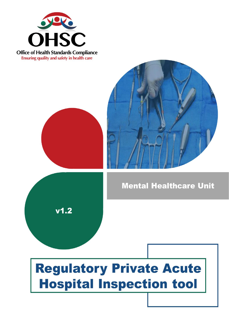

**Office of Health Standards Compliance** Ensuring quality and safety in health care





**Mental Healthcare Unit** 

# **Regulatory Private Acute Hospital Inspection tool**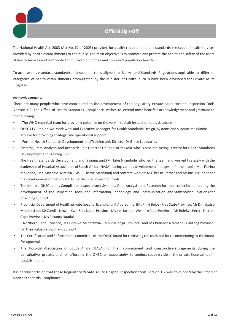

The National Health Act, 2003 (Act No. 61 of 2003) provides for quality requirements and standards in respect of health services provided by health establishmentsto the public. The main objective isto promote and protect the health and safety of the users of health services and contribute to improved outcomes and improved population health.

To achieve this mandate, standardised inspection tools aligned to Norms and Standards Regulations applicable to different categories of health establishments promulgated by the Minister of Health in 2018 have been developed for Private Acute Hospitals.

#### **Acknowledgements**

There are many people who have contributed to the development of the Regulatory Private Acute Hospital Inspection Tools Version 1.2. The Office of Health Standards Compliance wishes to extend most heartfelt acknowledgement and gratitude to the following:

- The WHO technical team for providing guidance on the very first draft inspection tools database
- OHSC CEO Dr Siphiwe Mndaweni and Executive Manager for Health Standards Design, Systems and Support Ms Winnie Moleko for providing strategic and operational support.
- Former Health Standards Development and Training unit Director Dr Grace Labadarios
- Systems, Data Analysis and Research unit Director Dr Thabiso Makola who is also the Acting Director for Health Standards Development and Training unit
- The Health Standards Development and Training unit (Mr Jabu Nkambule who led the team and worked tirelessly with the leadership of Hospital Association of South Africa (HASA) during various development stages of the tool, Ms Florina Mokoena, Ms Mosehle Matlala, Ms Busisiwe Mashinini) and contract workers Ms Thresia Pather and Ms Busi Ngubane for the development of the Private Acute Hospital Inspection tools.
- The internal OHSC teams Compliance Inspectorate; Systems, Data Analysis and Research for their contribution during the development of the Inspection tools and Information Technology and Communication and Stakeholder Relations for providing support.
- Provincial Department of Health private hospital licensing units' personnel (Ms Pinki Belot Free State Province, Ms Dimakatso Moeketsi and Ms Zandile Nzuza - Kwa-Zulu Natal-Province, Ms Kim Jacobs - Western Cape Province, Ms Bulelwa Peter - Eastern Cape Province, Ms Pakama Nqadala

- Northern Cape Province, Ms Lindiwe Mkhatshwa - Mpumalanga Province, and Ms Patience Ntamane -Gauteng Province) for their valuable input and support.

- The Certification and Enforcement Committee of the OHSC Board for reviewing the tools and for recommending to the Board for approval.
- The Hospital Association of South Africa (HASA) for their commitment and constructive engagements during the consultative process and for affording the OHSC an opportunity to conduct scoping visits in the private hospital health establishments.

It is hereby certified that these Regulatory Private Acute Hospital Inspection tools version 1.2 was developed by the Office of Health Standards Compliance.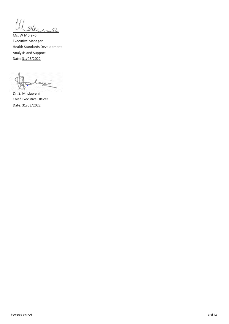Ill oderne

Ms. W Moleko Executive Manager Health Standards Development Analysis and Support Date: 31/03/2022

أدييت  $\sim$   $\sim$ 

Dr. S. Mndaweni Chief Executive Officer Date: 31/03/2022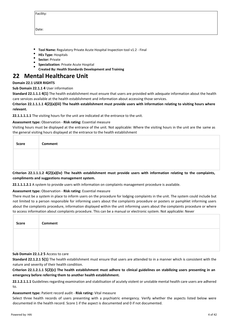| acility<br>ш |  |
|--------------|--|
|              |  |

Date:

- **Tool Name:** Regulatory Private Acute Hospital Inspection tool v1.2 Final
- **HEs Type:** Hospitals
- **Sector:** Private
- **Specialization:** Private Acute Hospital
- **Created By: Health Standards Development and Training**

## **22 Mental Healthcare Unit**

## **Domain 22.1 USER RIGHTS**

## **Sub Domain 22.1.1 4** User information

**Standard 22.1.1.1 4(1)** The health establishment must ensure that users are provided with adequate information about the health care services available at the health establishment and information about accessing those services.

**Criterion 22.1.1.1.1 4(2)(a)(iii) The health establishment must provide users with information relating to visiting hours where relevant.**

**22.1.1.1.1.1** The visiting hours for the unit are indicated at the entrance to the unit.

## **Assessment type:** Observation - **Risk rating:** Essential measure

Visiting hours must be displayed at the entrance of the unit. Not applicable: Where the visiting hours in the unit are the same as the general visiting hours displayed at the entrance to the health establishment

| Critorian 22.1.1.1.2. A(2)(a)(iv) The boalth octablishment must provide users with information relating to the complaints |
|---------------------------------------------------------------------------------------------------------------------------|

**Criterion 22.1.1.1.2 4(2)(a)(iv) The health establishment must provide users with information relating to the complaints, compliments and suggestions management system.**

**22.1.1.1.2.1** A system to provide users with information on complaints management procedure is available.

## **Assessment type:** Observation - **Risk rating:** Essential measure

There must be a system in place to inform users on the procedure for lodging complaints in the unit. The system could include but not limited to a person responsible for informing users about the complaints procedure or posters or pamphlet informing users about the complaints procedure, information displayed within the unit informing users about the complaints procedure or where to access information about complaints procedure. This can be a manual or electronic system. Not applicable: Never

| Score | Comment |
|-------|---------|
|       |         |
|       |         |

## **Sub Domain 22.1.2 5** Access to care

**Standard 22.1.2.1 5(1)** The health establishment must ensure that users are attended to in a manner which is consistent with the nature and severity of their health condition.

**Criterion 22.1.2.1.1 5(2)(c) The health establishment must adhere to clinical guidelines on stabilizing users presenting in an emergency before referring them to another health establishment.**

**22.1.2.1.1.1** Guidelines regarding examination and stabilisation of acutely violent or unstable mental health care users are adhered to.

#### **Assessment type:** Patient record audit - **Risk rating:** Vital measure

Select three health records of users presenting with a psychiatric emergency. Verify whether the aspects listed below were documented in the health record. Score 1 if the aspect is documented and 0 if not documented.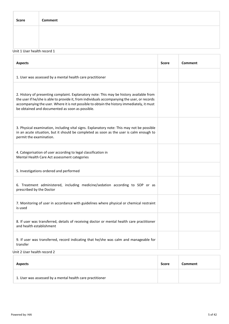| <b>Score</b>                | Comment |  |  |
|-----------------------------|---------|--|--|
|                             |         |  |  |
|                             |         |  |  |
| Unit 1 User health record 1 |         |  |  |
|                             |         |  |  |

| <b>Aspects</b>                                                                                                                                                                                                                                                                                                                            | <b>Score</b> | <b>Comment</b> |
|-------------------------------------------------------------------------------------------------------------------------------------------------------------------------------------------------------------------------------------------------------------------------------------------------------------------------------------------|--------------|----------------|
| 1. User was assessed by a mental health care practitioner                                                                                                                                                                                                                                                                                 |              |                |
| 2. History of presenting complaint. Explanatory note: This may be history available from<br>the user if he/she is able to provide it, from individuals accompanying the user, or records<br>accompanying the user. Where it is not possible to obtain the history immediately, it must<br>be obtained and documented as soon as possible. |              |                |
| 3. Physical examination, including vital signs. Explanatory note: This may not be possible<br>in an acute situation, but it should be completed as soon as the user is calm enough to<br>permit the examination.                                                                                                                          |              |                |
| 4. Categorisation of user according to legal classification in<br>Mental Health Care Act assessment categories                                                                                                                                                                                                                            |              |                |
| 5. Investigations ordered and performed                                                                                                                                                                                                                                                                                                   |              |                |
| 6. Treatment administered, including medicine/sedation according to SOP or as<br>prescribed by the Doctor                                                                                                                                                                                                                                 |              |                |
| 7. Monitoring of user in accordance with guidelines where physical or chemical restraint<br>is used                                                                                                                                                                                                                                       |              |                |
| 8. If user was transferred, details of receiving doctor or mental health care practitioner<br>and health establishment                                                                                                                                                                                                                    |              |                |
| 9. If user was transferred, record indicating that he/she was calm and manageable for<br>transfer                                                                                                                                                                                                                                         |              |                |
| $\alpha$ in the secretary and secretary $\alpha$                                                                                                                                                                                                                                                                                          |              |                |

Unit 2 User health record 2

| <b>Aspects</b>                                            | Score | <b>Comment</b> |
|-----------------------------------------------------------|-------|----------------|
| 1. User was assessed by a mental health care practitioner |       |                |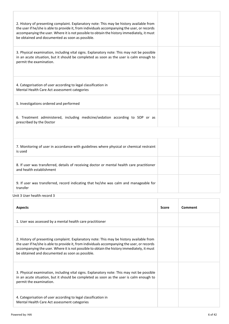| 2. History of presenting complaint. Explanatory note: This may be history available from<br>the user if he/she is able to provide it, from individuals accompanying the user, or records<br>accompanying the user. Where it is not possible to obtain the history immediately, it must<br>be obtained and documented as soon as possible. |  |
|-------------------------------------------------------------------------------------------------------------------------------------------------------------------------------------------------------------------------------------------------------------------------------------------------------------------------------------------|--|
| 3. Physical examination, including vital signs. Explanatory note: This may not be possible<br>in an acute situation, but it should be completed as soon as the user is calm enough to<br>permit the examination.                                                                                                                          |  |
| 4. Categorisation of user according to legal classification in<br>Mental Health Care Act assessment categories                                                                                                                                                                                                                            |  |
| 5. Investigations ordered and performed                                                                                                                                                                                                                                                                                                   |  |
| 6. Treatment administered, including medicine/sedation according to SOP or as<br>prescribed by the Doctor                                                                                                                                                                                                                                 |  |
|                                                                                                                                                                                                                                                                                                                                           |  |
| 7. Monitoring of user in accordance with guidelines where physical or chemical restraint<br>is used                                                                                                                                                                                                                                       |  |
| 8. If user was transferred, details of receiving doctor or mental health care practitioner<br>and health establishment                                                                                                                                                                                                                    |  |
| 9. If user was transferred, record indicating that he/she was calm and manageable for<br>transfer                                                                                                                                                                                                                                         |  |
| Unit 3 User health record 3                                                                                                                                                                                                                                                                                                               |  |

| <b>Aspects</b>                                                                                                                                                                                                                                                                                                                            | <b>Score</b> | Comment |
|-------------------------------------------------------------------------------------------------------------------------------------------------------------------------------------------------------------------------------------------------------------------------------------------------------------------------------------------|--------------|---------|
| 1. User was assessed by a mental health care practitioner                                                                                                                                                                                                                                                                                 |              |         |
| 2. History of presenting complaint. Explanatory note: This may be history available from<br>the user if he/she is able to provide it, from individuals accompanying the user, or records<br>accompanying the user. Where it is not possible to obtain the history immediately, it must<br>be obtained and documented as soon as possible. |              |         |
| 3. Physical examination, including vital signs. Explanatory note: This may not be possible<br>in an acute situation, but it should be completed as soon as the user is calm enough to<br>permit the examination.                                                                                                                          |              |         |
| 4. Categorisation of user according to legal classification in<br>Mental Health Care Act assessment categories                                                                                                                                                                                                                            |              |         |

T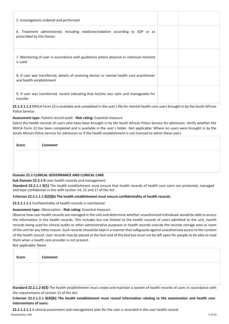| 5. Investigations ordered and performed                                                                                |  |
|------------------------------------------------------------------------------------------------------------------------|--|
| 6. Treatment administered, including medicine/sedation according to SOP or as<br>prescribed by the Doctor              |  |
| 7. Monitoring of user in accordance with guidelines where physical or chemical restraint<br>is used                    |  |
| 8. If user was transferred, details of receiving doctor or mental health care practitioner<br>and health establishment |  |
| 9. If user was transferred, record indicating that he/she was calm and manageable for<br>transfer                      |  |

**22.1.2.1.1.2** MHCA Form 22 is available and completed in the user's file for mental health care users brought in by the South African Police Service.

## **Assessment type:** Patient record audit - **Risk rating:** Essential measure

Select the health records of users who have been brought in by the South African Police Service for admission. Verify whether the MHCA Form 22 has been completed and is available in the user's folder. Not applicable: Where no users were brought in by the South African Police Service for admission or if the health establishment is not licensed to admit these users

| Score | Comment |
|-------|---------|
|       |         |
|       |         |

## **Domain 22.2 CLINICAL GOVERNANCE AND CLINICAL CARE**

## **Sub Domain 22.2.1 6** User health records and management

**Standard 22.2.1.1 6(1)** The health establishment must ensure that health records of health care users are protected, managed and kept confidential in line with section 14, 15 and 17 of the Act.

## **Criterion 22.2.1.1.1 6(2)(b) The health establishment must ensure confidentiality of health records.**

**22.2.1.1.1.1** Confidentiality of health records is maintained.

## **Assessment type:** Observation - **Risk rating:** Essential measure

Observe how user health records are managed in the unit and determine whether unauthorised individuals would be able to access the information in the health records. This includes but not limited to the health records of users admitted to the unit, health records being used for clinical audits or other administrative purposes or health records outside the records storage area or room of the unit for any other reason. Such records should be kept in a manner that safeguards against unauthorised access to the content of the health record. User records may be placed at the foot end of the bed but must not be left open for people to be able to read them when a health care provider is not present.

Not applicable: Never

| Score | <b>Comment</b> |
|-------|----------------|
|       |                |
|       |                |

**Standard 22.2.1.2 6(3)** The health establishment must create and maintain a system of health records of users in accordance with the requirements of section 13 of the Act.

## **Criterion 22.2.1.2.1 6(4)(b) The health establishment must record information relating to the examination and health care interventions of users.**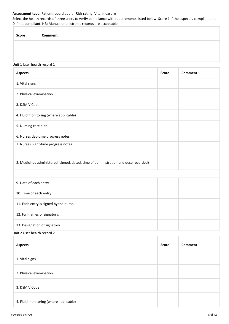## **Assessment type:** Patient record audit - **Risk rating:** Vital measure

Select the health records of three users to verify compliance with requirements listed below. Score 1 if the aspect is compliant and 0 if not compliant. NB: Manual or electronic records are acceptable.

| Score | Comment |
|-------|---------|
|       |         |
|       |         |

#### Unit 1 User health record 1

| <b>Aspects</b>                                                                      | <b>Score</b> | <b>Comment</b> |
|-------------------------------------------------------------------------------------|--------------|----------------|
| 1. Vital signs                                                                      |              |                |
| 2. Physical examination                                                             |              |                |
| 3. DSM V Code                                                                       |              |                |
| 4. Fluid monitoring (where applicable)                                              |              |                |
| 5. Nursing care plan                                                                |              |                |
| 6. Nurses day-time progress notes                                                   |              |                |
| 7. Nurses night-time progress notes                                                 |              |                |
| 8. Medicines administered (signed, dated, time of administration and dose recorded) |              |                |
|                                                                                     |              |                |
| 9. Date of each entry                                                               |              |                |
| 10. Time of each entry                                                              |              |                |
| 11. Each entry is signed by the nurse.                                              |              |                |
| 12. Full names of signatory.                                                        |              |                |
| 13. Designation of signatory<br>$\sim$ $\sim$<br><b>Contract Contract Contract</b>  |              |                |

Unit 2 User health record 2

| <b>Aspects</b>                         | <b>Score</b> | Comment |
|----------------------------------------|--------------|---------|
| 1. Vital signs                         |              |         |
| 2. Physical examination                |              |         |
| 3. DSM V Code                          |              |         |
| 4. Fluid monitoring (where applicable) |              |         |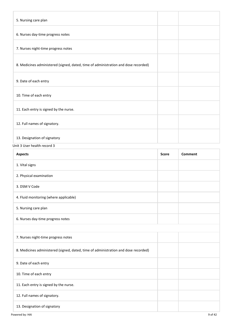| 5. Nursing care plan                                                                |  |
|-------------------------------------------------------------------------------------|--|
| 6. Nurses day-time progress notes                                                   |  |
| 7. Nurses night-time progress notes                                                 |  |
| 8. Medicines administered (signed, dated, time of administration and dose recorded) |  |
| 9. Date of each entry                                                               |  |
| 10. Time of each entry                                                              |  |
| 11. Each entry is signed by the nurse.                                              |  |
| 12. Full names of signatory.                                                        |  |
| 13. Designation of signatory                                                        |  |

## Unit 3 User health record 3

| <b>Aspects</b>                                                                      | <b>Score</b> | Comment |
|-------------------------------------------------------------------------------------|--------------|---------|
| 1. Vital signs                                                                      |              |         |
| 2. Physical examination                                                             |              |         |
| 3. DSM V Code                                                                       |              |         |
| 4. Fluid monitoring (where applicable)                                              |              |         |
| 5. Nursing care plan                                                                |              |         |
| 6. Nurses day-time progress notes                                                   |              |         |
|                                                                                     |              |         |
| 7. Nurses night-time progress notes                                                 |              |         |
| 8. Medicines administered (signed, dated, time of administration and dose recorded) |              |         |
| 9. Date of each entry                                                               |              |         |
| 10. Time of each entry                                                              |              |         |
| 11. Each entry is signed by the nurse.                                              |              |         |
| 12. Full names of signatory.                                                        |              |         |
| 13. Designation of signatory                                                        |              |         |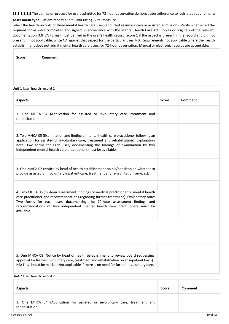**22.2.1.2.1.2** The admission process for users admitted for 72-hour observation demonstrates adherence to legislated requirements.

#### **Assessment type:** Patient record audit - **Risk rating:** Vital measure

Select the health records of three mental health care users admitted as involuntary or assisted admissions. Verify whether all the required forms were completed and signed, in accordance with the Mental Health Care Act. Copies or originals of the relevant documentation (MHCA Forms) must be filed in the user's health record. Score 1 if the aspect is present in the record and 0 if not present. If not applicable, write NA against that aspect for the particular user. NB: Requirements not applicable where the health establishment does not admit mental health care users for 72-hour observation. Manual or electronic records are acceptable.

| Score | Comment |
|-------|---------|
|       |         |
|       |         |

#### Unit 1 User health record 1

| <b>Aspects</b>                                                                                                                                                                                                                                                                                                                                          | <b>Score</b> | Comment |
|---------------------------------------------------------------------------------------------------------------------------------------------------------------------------------------------------------------------------------------------------------------------------------------------------------------------------------------------------------|--------------|---------|
| 1. One MHCA 04 (Application for assisted or involuntary care, treatment and<br>rehabilitation)                                                                                                                                                                                                                                                          |              |         |
| 2. Two MHCA 05 (Examination and finding of mental health care practitioner following an<br>application for assisted or involuntary care, treatment and rehabilitation). Explanatory<br>note: Two forms for each user, documenting the findings of examination by two<br>independent mental health care practitioners must be available.                 |              |         |
| 3. One MHCA 07 (Notice by head of health establishment on his/her decision whether to<br>provide assisted or involuntary inpatient care, treatment and rehabilitation services).                                                                                                                                                                        |              |         |
| 4. Two MHCA 06 (72-hour assessment, findings of medical practitioner or mental health<br>care practitioner and recommendations regarding further treatment). Explanatory note:<br>Two forms for each user, documenting the 72-hour assessment findings and<br>recommendations of two independent mental health care practitioners must be<br>available. |              |         |
|                                                                                                                                                                                                                                                                                                                                                         |              |         |
| 5. One MHCA 08 (Notice by head of health establishment to review board requesting<br>approval for further involuntary care, treatment and rehabilitation on an inpatient basis).<br>NB: This should be marked Not applicable if there is no need for further involuntary care.<br>Unit 2 User health record 2                                           |              |         |

| <b>Aspects</b>                                                                                 | <b>Score</b> | Comment |
|------------------------------------------------------------------------------------------------|--------------|---------|
| 1. One MHCA 04 (Application for assisted or involuntary care, treatment and<br>rehabilitation) |              |         |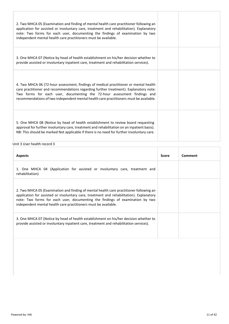| 2. Two MHCA 05 (Examination and finding of mental health care practitioner following an<br>application for assisted or involuntary care, treatment and rehabilitation). Explanatory<br>note: Two forms for each user, documenting the findings of examination by two<br>independent mental health care practitioners must be available.              |  |
|------------------------------------------------------------------------------------------------------------------------------------------------------------------------------------------------------------------------------------------------------------------------------------------------------------------------------------------------------|--|
| 3. One MHCA 07 (Notice by head of health establishment on his/her decision whether to<br>provide assisted or involuntary inpatient care, treatment and rehabilitation services).                                                                                                                                                                     |  |
| 4. Two MHCA 06 (72-hour assessment, findings of medical practitioner or mental health<br>care practitioner and recommendations regarding further treatment). Explanatory note:<br>Two forms for each user, documenting the 72-hour assessment findings and<br>recommendations of two independent mental health care practitioners must be available. |  |
| 5. One MHCA 08 (Notice by head of health establishment to review board requesting<br>approval for further involuntary care, treatment and rehabilitation on an inpatient basis).<br>NB: This should be marked Not applicable if there is no need for further involuntary care.                                                                       |  |

## Unit 3 User health record 3

| <b>Aspects</b>                                                                                                                                                                                                                                                                                                                          | Score | Comment |
|-----------------------------------------------------------------------------------------------------------------------------------------------------------------------------------------------------------------------------------------------------------------------------------------------------------------------------------------|-------|---------|
| 1. One MHCA 04 (Application for assisted or involuntary care, treatment and<br>rehabilitation)                                                                                                                                                                                                                                          |       |         |
| 2. Two MHCA 05 (Examination and finding of mental health care practitioner following an<br>application for assisted or involuntary care, treatment and rehabilitation). Explanatory<br>note: Two forms for each user, documenting the findings of examination by two<br>independent mental health care practitioners must be available. |       |         |
| 3. One MHCA 07 (Notice by head of health establishment on his/her decision whether to<br>provide assisted or involuntary inpatient care, treatment and rehabilitation services).                                                                                                                                                        |       |         |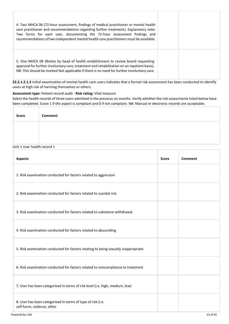| 4. Two MHCA 06 (72-hour assessment, findings of medical practitioner or mental health<br>care practitioner and recommendations regarding further treatment). Explanatory note:<br>Two forms for each user, documenting the 72-hour assessment findings and<br>recommendations of two independent mental health care practitioners must be available. |  |
|------------------------------------------------------------------------------------------------------------------------------------------------------------------------------------------------------------------------------------------------------------------------------------------------------------------------------------------------------|--|
| 5. One MHCA 08 (Notice by head of health establishment to review board requesting<br>approval for further involuntary care, treatment and rehabilitation on an inpatient basis).<br>NB: This should be marked Not applicable if there is no need for further involuntary care.                                                                       |  |

**22.2.1.2.1.3** Initial examination of mental health care users indicates that a formal risk assessment has been conducted to identify users at high risk of harming themselves or others.

## **Assessment type:** Patient record audit - **Risk rating:** Vital measure

Select the health records of three users admitted in the previous six months. Verify whether the risk assessments listed below have been completed. Score 1 if the aspect is compliant and 0 if not compliant. NB: Manual or electronic records are acceptable.

| <b>Score</b> | <b>Comment</b> |
|--------------|----------------|
|              |                |
|              |                |

## Unit 1 User health record 1

| <b>Aspects</b>                                                                            | <b>Score</b> | Comment |
|-------------------------------------------------------------------------------------------|--------------|---------|
| 1. Risk examination conducted for factors related to aggression                           |              |         |
| 2. Risk examination conducted for factors related to suicidal risk                        |              |         |
| 3. Risk examination conducted for factors related to substance withdrawal                 |              |         |
| 4. Risk examination conducted for factors related to absconding                           |              |         |
| 5. Risk examination conducted for factors relating to being sexually inappropriate        |              |         |
| 6. Risk examination conducted for factors related to noncompliance to treatment           |              |         |
| 7. User has been categorised in terms of risk level (i.e. high, medium, low)              |              |         |
| 8. User has been categorised in terms of type of risk (i.e.<br>self-harm, violence, other |              |         |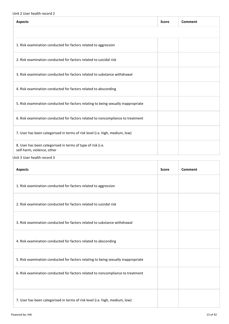## Unit 2 User health record 2

| <b>Aspects</b>                                                                            | <b>Score</b> | Comment |
|-------------------------------------------------------------------------------------------|--------------|---------|
|                                                                                           |              |         |
| 1. Risk examination conducted for factors related to aggression                           |              |         |
| 2. Risk examination conducted for factors related to suicidal risk                        |              |         |
| 3. Risk examination conducted for factors related to substance withdrawal                 |              |         |
| 4. Risk examination conducted for factors related to absconding                           |              |         |
| 5. Risk examination conducted for factors relating to being sexually inappropriate        |              |         |
| 6. Risk examination conducted for factors related to noncompliance to treatment           |              |         |
| 7. User has been categorised in terms of risk level (i.e. high, medium, low)              |              |         |
| 8. User has been categorised in terms of type of risk (i.e.<br>self-harm, violence, other |              |         |
| Unit 3 User health record 3                                                               |              |         |

| <b>Aspects</b>                                                                     | <b>Score</b> | Comment |
|------------------------------------------------------------------------------------|--------------|---------|
| 1. Risk examination conducted for factors related to aggression                    |              |         |
| 2. Risk examination conducted for factors related to suicidal risk                 |              |         |
| 3. Risk examination conducted for factors related to substance withdrawal          |              |         |
| 4. Risk examination conducted for factors related to absconding                    |              |         |
| 5. Risk examination conducted for factors relating to being sexually inappropriate |              |         |
| 6. Risk examination conducted for factors related to noncompliance to treatment    |              |         |
| 7. User has been categorised in terms of risk level (i.e. high, medium, low)       |              |         |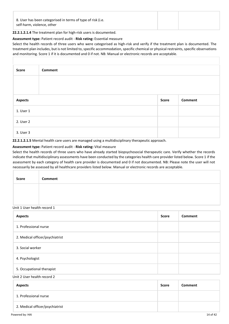| 8. User has been categorised in terms of type of risk (i.e.<br>self-harm, violence, other |  |
|-------------------------------------------------------------------------------------------|--|
|-------------------------------------------------------------------------------------------|--|

## **22.2.1.2.1.4** The treatment plan for high-risk users is documented.

#### **Assessment type:** Patient record audit - **Risk rating:** Essential measure

Select the health records of three users who were categorised as high-risk and verify if the treatment plan is documented. The treatment plan includes, but is not limited to, specific accommodation, specific chemical or physical restraints, specific observations and monitoring. Score 1 if it is documented and 0 if not. NB: Manual or electronic records are acceptable.

| Score          | <b>Comment</b> |       |                |
|----------------|----------------|-------|----------------|
|                |                |       |                |
| <b>Aspects</b> |                | Score | <b>Comment</b> |
| 1. User 1      |                |       |                |
| 2. User 2      |                |       |                |
|                |                |       |                |

**22.2.1.2.1.5** Mental health care users are managed using a multidisciplinary therapeutic approach.

## **Assessment type:** Patient record audit - **Risk rating:** Vital measure

Select the health records of three users who have already started biopsychosocial therapeutic care. Verify whether the records indicate that multidisciplinary assessments have been conducted by the categories health care provider listed below. Score 1 if the assessment by each category of health care provider is documented and 0 if not documented. NB: Please note the user will not necessarily be assessed by all healthcare providers listed below. Manual or electronic records are acceptable.

| Score | Comment |
|-------|---------|
|       |         |
|       |         |

#### Unit 1 User health record 1

| <b>Aspects</b>                  | <b>Score</b> | <b>Comment</b> |
|---------------------------------|--------------|----------------|
| 1. Professional nurse           |              |                |
| 2. Medical officer/psychiatrist |              |                |
| 3. Social worker                |              |                |
| 4. Psychologist                 |              |                |
| 5. Occupational therapist       |              |                |

Unit 2 User health record 2

| <b>Aspects</b>                  | Score | <b>Comment</b> |
|---------------------------------|-------|----------------|
| 1. Professional nurse           |       |                |
| 2. Medical officer/psychiatrist |       |                |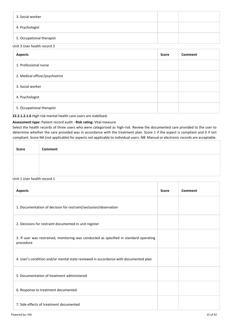| 3. Social worker          |  |
|---------------------------|--|
| 4. Psychologist           |  |
| 5. Occupational therapist |  |

Unit 3 User health record 3

| <b>Aspects</b>                  | <b>Score</b> | Comment |
|---------------------------------|--------------|---------|
| 1. Professional nurse           |              |         |
| 2. Medical officer/psychiatrist |              |         |
| 3. Social worker                |              |         |
| 4. Psychologist                 |              |         |
| 5. Occupational therapist       |              |         |

## **22.2.1.2.1.6** High risk mental health care users are stabilised.

## **Assessment type:** Patient record audit - **Risk rating:** Vital measure

Select the health records of three users who were categorised as high-risk. Review the documented care provided to the user to determine whether the care provided was in accordance with the treatment plan. Score 1 if the aspect is compliant and 0 if not compliant. Score NA (not applicable) for aspects not applicable to individual users. NB: Manual or electronic records are acceptable.

| Score | Comment |
|-------|---------|
|       |         |
|       |         |

## Unit 1 User health record 1

| <b>Aspects</b>                                                                                      | <b>Score</b> | Comment |
|-----------------------------------------------------------------------------------------------------|--------------|---------|
| 1. Documentation of decision for restraint/seclusion/observation                                    |              |         |
| 2. Decisions for restraint documented in unit register                                              |              |         |
| 3. If user was restrained, monitoring was conducted as specified in standard operating<br>procedure |              |         |
| 4. User's condition and/or mental state reviewed in accordance with documented plan                 |              |         |
| 5. Documentation of treatment administered                                                          |              |         |
| 6. Response to treatment documented                                                                 |              |         |
| 7. Side effects of treatment documented                                                             |              |         |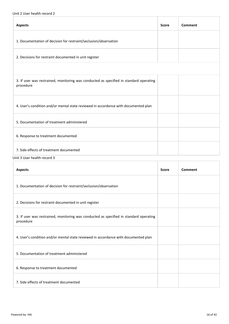## Unit 2 User health record 2

| <b>Aspects</b>                                                                                      | <b>Score</b> | Comment |
|-----------------------------------------------------------------------------------------------------|--------------|---------|
| 1. Documentation of decision for restraint/seclusion/observation                                    |              |         |
| 2. Decisions for restraint documented in unit register                                              |              |         |
|                                                                                                     |              |         |
| 3. If user was restrained, monitoring was conducted as specified in standard operating<br>procedure |              |         |
| 4. User's condition and/or mental state reviewed in accordance with documented plan                 |              |         |
| 5. Documentation of treatment administered                                                          |              |         |
| 6. Response to treatment documented                                                                 |              |         |
| 7. Side effects of treatment documented<br>Unit 3 User health record 3                              |              |         |

| <b>Aspects</b>                                                                                      | <b>Score</b> | Comment |
|-----------------------------------------------------------------------------------------------------|--------------|---------|
| 1. Documentation of decision for restraint/seclusion/observation                                    |              |         |
| 2. Decisions for restraint documented in unit register                                              |              |         |
| 3. If user was restrained, monitoring was conducted as specified in standard operating<br>procedure |              |         |
| 4. User's condition and/or mental state reviewed in accordance with documented plan                 |              |         |
| 5. Documentation of treatment administered                                                          |              |         |
| 6. Response to treatment documented                                                                 |              |         |
| 7. Side effects of treatment documented                                                             |              |         |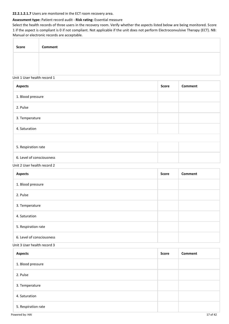#### **22.2.1.2.1.7** Users are monitored in the ECT room recovery area.

## **Assessment type:** Patient record audit - **Risk rating:** Essential measure

Select the health records of three users in the recovery room. Verify whether the aspects listed below are being monitored. Score 1 if the aspect is compliant is 0 if not compliant. Not applicable if the unit does not perform Electroconvulsive Therapy (ECT). NB: Manual or electronic records are acceptable.

| <b>Score</b> | <b>Comment</b> |
|--------------|----------------|
|              |                |
|              |                |

## Unit 1 User health record 1

| <b>Aspects</b>            | <b>Score</b> | <b>Comment</b> |
|---------------------------|--------------|----------------|
| 1. Blood pressure         |              |                |
| 2. Pulse                  |              |                |
| 3. Temperature            |              |                |
| 4. Saturation             |              |                |
|                           |              |                |
| 5. Respiration rate       |              |                |
| 6. Level of consciousness |              |                |

#### Unit 2 User health record 2

| <b>Aspects</b>            | <b>Score</b> | <b>Comment</b> |
|---------------------------|--------------|----------------|
| 1. Blood pressure         |              |                |
| 2. Pulse                  |              |                |
| 3. Temperature            |              |                |
| 4. Saturation             |              |                |
| 5. Respiration rate       |              |                |
| 6. Level of consciousness |              |                |

## Unit 3 User health record 3

| <b>Aspects</b>      | Score | <b>Comment</b> |
|---------------------|-------|----------------|
| 1. Blood pressure   |       |                |
| 2. Pulse            |       |                |
| 3. Temperature      |       |                |
| 4. Saturation       |       |                |
| 5. Respiration rate |       |                |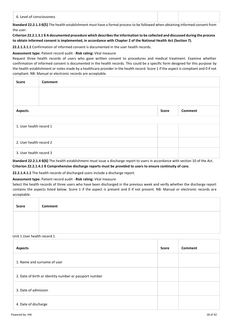| 6. Level of consciousness                                                                                                                                                                                             |  |  |
|-----------------------------------------------------------------------------------------------------------------------------------------------------------------------------------------------------------------------|--|--|
| $\alpha$ and $\alpha$ and $\alpha$ and $\alpha$ $\beta$ $\gamma$ is the contribution of the complete of $\beta$ and the complete full contribution of the contribution of $\beta$ and $\beta$ and $\beta$ and $\beta$ |  |  |

**Standard 22.2.1.3 6(5)** The health establishment must have a formal process to be followed when obtaining informed consent from the user.

**Criterion 22.2.1.3.1 6 A documented procedure which describes the information to be collected and discussed during the process to obtain informed consent is implemented, in accordance with Chapter 2 of the National Health Act (Section 7).**

**22.2.1.3.1.1** Confirmation of informed consent is documented in the user health records.

## **Assessment type:** Patient record audit - **Risk rating:** Vital measure

Request three health records of users who gave written consent to procedures and medical treatment. Examine whether confirmation of informed consent is documented in the health records. This could be a specific form designed for this purpose by the health establishment or notes made by a healthcare provider in the health record. Score 1 if the aspect is compliant and 0 if not compliant. NB: Manual or electronic records are acceptable.

| <b>Score</b>            | <b>Comment</b>   |  |  |
|-------------------------|------------------|--|--|
|                         |                  |  |  |
|                         |                  |  |  |
| <b>Aspects</b>          | Score<br>Comment |  |  |
|                         |                  |  |  |
| 1. User health record 1 |                  |  |  |
| 2. User health record 2 |                  |  |  |
| 3. User health record 3 |                  |  |  |

**Standard 22.2.1.4 6(6)** The health establishment must issue a discharge report to users in accordance with section 10 of the Act. **Criterion 22.2.1.4.1 6 Comprehensive discharge reports must be provided to users to ensure continuity of care.**

**22.2.1.4.1.1** The health records of discharged users include a discharge report.

## **Assessment type:** Patient record audit - **Risk rating:** Vital measure

Select the health records of three users who have been discharged in the previous week and verify whether the discharge report contains the aspects listed below. Score 1 if the aspect is present and 0 if not present. NB: Manual or electronic records are acceptable.

| <b>Score</b> | Comment |
|--------------|---------|
|              |         |
|              |         |

## Unit 1 User health record 1

| <b>Aspects</b>                                         | <b>Score</b> | Comment |
|--------------------------------------------------------|--------------|---------|
| 1. Name and surname of user                            |              |         |
| 2. Date of birth or Identity number or passport number |              |         |
| 3. Date of admission                                   |              |         |
| 4. Date of discharge                                   |              |         |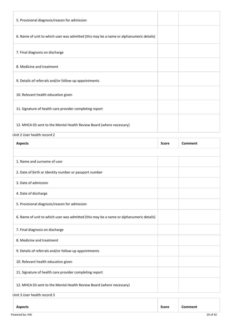| 5. Provisional diagnosis/reason for admission                                           |              |                |
|-----------------------------------------------------------------------------------------|--------------|----------------|
| 6. Name of unit to which user was admitted (this may be a name or alphanumeric details) |              |                |
| 7. Final diagnosis on discharge                                                         |              |                |
| 8. Medicine and treatment                                                               |              |                |
| 9. Details of referrals and/or follow-up appointments                                   |              |                |
| 10. Relevant health education given                                                     |              |                |
| 11. Signature of health care provider completing report                                 |              |                |
| 12. MHCA 03 sent to the Mental Health Review Board (where necessary)                    |              |                |
| Unit 2 User health record 2                                                             |              |                |
| <b>Aspects</b>                                                                          | <b>Score</b> | <b>Comment</b> |
| 1. Name and surname of user                                                             |              |                |
| 2. Date of birth or Identity number or passport number                                  |              |                |

- 3. Date of admission
- 4. Date of discharge

5. Provisional diagnosis/reason for admission

6. Name of unit to which user was admitted (this may be a name or alphanumeric details) 7. Final diagnosis on discharge 8. Medicine and treatment 9. Details of referrals and/or follow-up appointments 10. Relevant health education given 11. Signature of health care provider completing report 12. MHCA 03 sent to the Mental Health Review Board (where necessary)

Unit 3 User health record 3

| <b>Aspects</b>  | <b>Score</b> | Comment |          |
|-----------------|--------------|---------|----------|
| Powered by: HAI |              |         | 19 of 42 |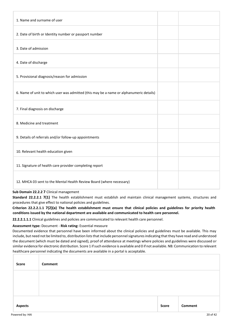| 1. Name and surname of user                                                             |  |
|-----------------------------------------------------------------------------------------|--|
| 2. Date of birth or Identity number or passport number                                  |  |
| 3. Date of admission                                                                    |  |
| 4. Date of discharge                                                                    |  |
| 5. Provisional diagnosis/reason for admission                                           |  |
| 6. Name of unit to which user was admitted (this may be a name or alphanumeric details) |  |
| 7. Final diagnosis on discharge                                                         |  |
| 8. Medicine and treatment                                                               |  |
| 9. Details of referrals and/or follow-up appointments                                   |  |
| 10. Relevant health education given                                                     |  |
| 11. Signature of health care provider completing report                                 |  |
| 12. MHCA 03 sent to the Mental Health Review Board (where necessary)                    |  |

## **Sub Domain 22.2.2 7** Clinical management

**Standard 22.2.2.1 7(1)** The health establishment must establish and maintain clinical management systems, structures and procedures that give effect to national policies and guidelines.

**Criterion 22.2.2.1.1 7(2)(a) The health establishment must ensure that clinical policies and guidelines for priority health conditions issued by the national department are available and communicated to health care personnel.**

**22.2.2.1.1.1** Clinical guidelines and policies are communicated to relevant health care personnel.

#### **Assessment type:** Document - **Risk rating:** Essential measure

Documented evidence that personnel have been informed about the clinical policies and guidelines must be available. This may include, but need not be limited to, distribution lists that include personnel signatures indicating that they have read and understood the document (which must be dated and signed), proof of attendance at meetings where policies and guidelines were discussed or similar evidence for electronic distribution. Score 1 if such evidence is available and 0 if not available. NB: Communication to relevant healthcare personnel indicating the documents are available in a portal is acceptable.

| Score          | <b>Comment</b> |       |         |
|----------------|----------------|-------|---------|
|                |                |       |         |
|                |                |       |         |
| <b>Aspects</b> |                | Score | Comment |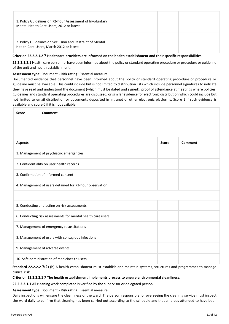| 1. Policy Guidelines on 72-hour Assessment of Involuntary<br>Mental Health Care Users, 2012 or latest |  |
|-------------------------------------------------------------------------------------------------------|--|
| 2. Policy Guidelines on Seclusion and Restraint of Mental<br>Health Care Users, March 2012 or latest  |  |

## **Criterion 22.2.2.1.2 7 Healthcare providers are informed on the health establishment and their specific responsibilities.**

**22.2.2.1.2.1** Health care personnel have been informed about the policy or standard operating procedure or procedure or guideline of the unit and health establishment.

#### **Assessment type:** Document - **Risk rating:** Essential measure

Documented evidence that personnel have been informed about the policy or standard operating procedure or procedure or guideline must be available. This could include but is not limited to distribution lists which include personnel signatures to indicate they have read and understood the document (which must be dated and signed), proof of attendance at meetings where policies, guidelines and standard operating procedures are discussed, or similar evidence for electronic distribution which could include but not limited to email distribution or documents deposited in intranet or other electronic platforms. Score 1 if such evidence is available and score 0 if it is not available.

| <b>Score</b>                                            | Comment                                                     |  |  |  |  |
|---------------------------------------------------------|-------------------------------------------------------------|--|--|--|--|
|                                                         |                                                             |  |  |  |  |
| <b>Score</b><br>Comment<br><b>Aspects</b>               |                                                             |  |  |  |  |
| 1. Management of psychiatric emergencies                |                                                             |  |  |  |  |
|                                                         | 2. Confidentiality on user health records                   |  |  |  |  |
| 3. Confirmation of informed consent                     |                                                             |  |  |  |  |
| 4. Management of users detained for 72-hour observation |                                                             |  |  |  |  |
|                                                         |                                                             |  |  |  |  |
|                                                         | 5. Conducting and acting on risk assessments                |  |  |  |  |
|                                                         | 6. Conducting risk assessments for mental health care users |  |  |  |  |
| 7. Management of emergency resuscitations               |                                                             |  |  |  |  |
| 8. Management of users with contagious infections       |                                                             |  |  |  |  |
|                                                         | 9. Management of adverse events                             |  |  |  |  |
| 10. Safe administration of medicines to users           |                                                             |  |  |  |  |

**Standard 22.2.2.2 7(2)** (b) A health establishment must establish and maintain systems, structures and programmes to manage clinical risk.

#### **Criterion 22.2.2.2.1 7 The health establishment implements process to ensure environmental cleanliness.**

**22.2.2.2.1.1** All cleaning work completed is verified by the supervisor or delegated person.

#### **Assessment type:** Document - **Risk rating:** Essential measure

Daily inspections will ensure the cleanliness of the ward. The person responsible for overseeing the cleaning service must inspect the ward daily to confirm that cleaning has been carried out according to the schedule and that all areas attended to have been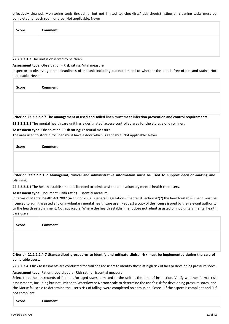effectively cleaned. Monitoring tools (including, but not limited to, checklists/ tick sheets) listing all cleaning tasks must be completed for each room or area. Not applicable: Never

| <b>Score</b> | Comment |
|--------------|---------|
|              |         |
|              |         |

**22.2.2.2.1.2** The unit is observed to be clean.

#### **Assessment type:** Observation - **Risk rating:** Vital measure

Inspector to observe general cleanliness of the unit including but not limited to whether the unit is free of dirt and stains. Not applicable: Never

| <b>Score</b> | Comment |
|--------------|---------|
|              |         |
|              |         |

#### **Criterion 22.2.2.2.2 7 The management of used and soiled linen must meet infection prevention and control requirements.**

**22.2.2.2.2.1** The mental health care unit has a designated, access-controlled area for the storage of dirty linen.

#### **Assessment type:** Observation - **Risk rating:** Essential measure

The area used to store dirty linen must have a door which is kept shut. Not applicable: Never

| Score | Comment |
|-------|---------|
|       |         |
|       |         |

**Criterion 22.2.2.2.3 7 Managerial, clinical and administrative information must be used to support decision-making and planning.**

**22.2.2.2.3.1** The health establishment is licenced to admit assisted or involuntary mental health care users.

## **Assessment type:** Document - **Risk rating:** Essential measure

In terms of Mental health Act 2002 (Act 17 of 2002), General Regulations Chapter 9 Section 42(2) the health establishment must be licenced to admit assisted and or involuntary mental health care user. Request a copy of the license issued by the relevant authority to the health establishment. Not applicable: Where the health establishment does not admit assisted or involuntary mental health care users.

| <b>Score</b> | Comment |
|--------------|---------|
|              |         |
|              |         |

**Criterion 22.2.2.2.4 7 Standardised procedures to identify and mitigate clinical risk must be implemented during the care of vulnerable users.**

**22.2.2.2.4.1** Risk assessments are conducted for frail or aged users to identify those at high risk of falls or developing pressure sores.

#### **Assessment type:** Patient record audit - **Risk rating:** Essential measure

Select three health records of frail and/or aged users admitted to the unit at the time of inspection. Verify whether formal risk assessments, including but not limited to Waterlow or Norton scale to determine the user's risk for developing pressure sores, and the Morse fall scale to determine the user's risk of falling, were completed on admission. Score 1 if the aspect is compliant and 0 if not compliant.

|--|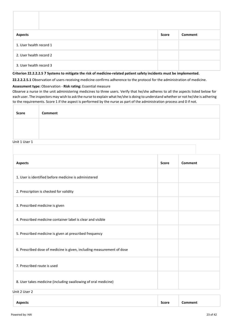| <b>Aspects</b>          | <b>Score</b> | Comment |  |
|-------------------------|--------------|---------|--|
| 1. User health record 1 |              |         |  |
| 2. User health record 2 |              |         |  |
| 3. User health record 3 |              |         |  |

## **Criterion 22.2.2.2.5 7 Systems to mitigate the risk of medicine-related patient safety incidents must be implemented.**

**22.2.2.2.5.1** Observation of users receiving medicine confirms adherence to the protocol for the administration of medicine.

#### **Assessment type:** Observation - **Risk rating:** Essential measure

Observe a nurse in the unit administering medicines to three users. Verify that he/she adheres to all the aspects listed below for each user. The inspectors may wish to ask the nurse to explain what he/she is doing to understand whether or not he/she is adhering to the requirements. Score 1 if the aspect is performed by the nurse as part of the administration process and 0 if not.

| <b>Score</b> | Comment |
|--------------|---------|
|              |         |
|              |         |

#### Unit 1 User 1

| <b>Aspects</b>                                                         | <b>Score</b> | Comment |
|------------------------------------------------------------------------|--------------|---------|
| 1. User is identified before medicine is administered                  |              |         |
| 2. Prescription is checked for validity                                |              |         |
| 3. Prescribed medicine is given                                        |              |         |
| 4. Prescribed medicine container label is clear and visible            |              |         |
| 5. Prescribed medicine is given at prescribed frequency                |              |         |
| 6. Prescribed dose of medicine is given, including measurement of dose |              |         |
| 7. Prescribed route is used                                            |              |         |
| 8. User takes medicine (including swallowing of oral medicine)         |              |         |
| Unit 2 User 2                                                          |              |         |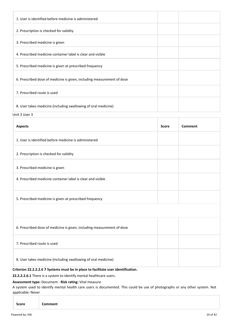| 1. User is identified before medicine is administered                  |  |
|------------------------------------------------------------------------|--|
| 2. Prescription is checked for validity                                |  |
| 3. Prescribed medicine is given                                        |  |
| 4. Prescribed medicine container label is clear and visible            |  |
| 5. Prescribed medicine is given at prescribed frequency                |  |
| 6. Prescribed dose of medicine is given, including measurement of dose |  |
| 7. Prescribed route is used                                            |  |
| 8. User takes medicine (including swallowing of oral medicine)         |  |

Unit 3 User 3

| <b>Aspects</b>                                                                                                                                                                                                                                                                                                   | <b>Score</b> | Comment |
|------------------------------------------------------------------------------------------------------------------------------------------------------------------------------------------------------------------------------------------------------------------------------------------------------------------|--------------|---------|
| 1. User is identified before medicine is administered                                                                                                                                                                                                                                                            |              |         |
| 2. Prescription is checked for validity                                                                                                                                                                                                                                                                          |              |         |
| 3. Prescribed medicine is given                                                                                                                                                                                                                                                                                  |              |         |
| 4. Prescribed medicine container label is clear and visible                                                                                                                                                                                                                                                      |              |         |
| 5. Prescribed medicine is given at prescribed frequency                                                                                                                                                                                                                                                          |              |         |
|                                                                                                                                                                                                                                                                                                                  |              |         |
| 6. Prescribed dose of medicine is given, including measurement of dose                                                                                                                                                                                                                                           |              |         |
| 7. Prescribed route is used                                                                                                                                                                                                                                                                                      |              |         |
| 8. User takes medicine (including swallowing of oral medicine)<br>$\mathbf{r}$ . The contract of the contract of the contract of the contract of the contract of the contract of the contract of the contract of the contract of the contract of the contract of the contract of the contract of th<br><b></b> . |              |         |

## **Criterion 22.2.2.2.6 7 Systems must be in place to facilitate user identification.**

**22.2.2.2.6.1** There is a system to identify mental healthcare users.

## **Assessment type:** Document - **Risk rating:** Vital measure

A system used to identify mental health care users is documented. This could be use of photographs or any other system. Not applicable: Never

| <b>Comment</b> |
|----------------|
|----------------|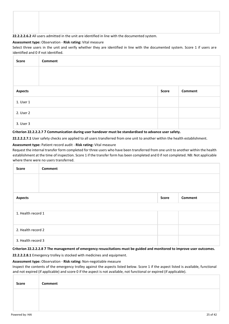## **22.2.2.2.6.2** All users admitted in the unit are identified in line with the documented system.

#### **Assessment type:** Observation - **Risk rating:** Vital measure

Select three users in the unit and verify whether they are identified in line with the documented system. Score 1 if users are identified and 0 if not identified.

| Score          | Comment |       |                |
|----------------|---------|-------|----------------|
|                |         |       |                |
|                |         |       |                |
| <b>Aspects</b> |         | Score | <b>Comment</b> |
| 1. User 1      |         |       |                |
| 2. User 2      |         |       |                |
| 3. User 3      |         |       |                |

#### **Criterion 22.2.2.2.7 7 Communication during user handover must be standardised to advance user safety.**

**22.2.2.2.7.1** User safety checks are applied to all users transferred from one unit to another within the health establishment.

#### **Assessment type:** Patient record audit - **Risk rating:** Vital measure

Request the internal transfer form completed for three users who have been transferred from one unit to another within the health establishment at the time of inspection. Score 1 if the transfer form has been completed and 0 if not completed. NB: Not applicable where there were no users transferred.

| Score                                            | Comment |  |  |  |
|--------------------------------------------------|---------|--|--|--|
|                                                  |         |  |  |  |
|                                                  |         |  |  |  |
| <b>Aspects</b><br><b>Comment</b><br><b>Score</b> |         |  |  |  |
|                                                  |         |  |  |  |
| 1. Health record 1                               |         |  |  |  |
| 2. Health record 2                               |         |  |  |  |
| 3. Health record 3                               |         |  |  |  |

**Criterion 22.2.2.2.8 7 The management of emergency resuscitations must be guided and monitored to improve user outcomes.**

**22.2.2.2.8.1** Emergency trolley is stocked with medicines and equipment.

#### **Assessment type:** Observation - **Risk rating:** Non-negotiable measure

Inspect the contents of the emergency trolley against the aspects listed below. Score 1 if the aspect listed is available, functional and not expired (if applicable) and score 0 if the aspect is not available, not functional or expired (if applicable).

| Score | Comment |
|-------|---------|
|       |         |
|       |         |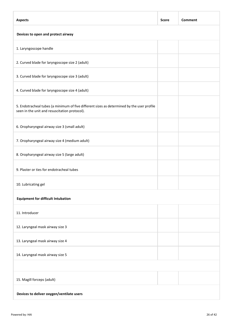| <b>Aspects</b>                                                                                                                              | <b>Score</b> | Comment |  |
|---------------------------------------------------------------------------------------------------------------------------------------------|--------------|---------|--|
| Devices to open and protect airway                                                                                                          |              |         |  |
| 1. Laryngoscope handle                                                                                                                      |              |         |  |
| 2. Curved blade for laryngoscope size 2 (adult)                                                                                             |              |         |  |
| 3. Curved blade for laryngoscope size 3 (adult)                                                                                             |              |         |  |
| 4. Curved blade for laryngoscope size 4 (adult)                                                                                             |              |         |  |
| 5. Endotracheal tubes (a minimum of five different sizes as determined by the user profile<br>seen in the unit and resuscitation protocol). |              |         |  |
| 6. Oropharyngeal airway size 3 (small adult)                                                                                                |              |         |  |
| 7. Oropharyngeal airway size 4 (medium adult)                                                                                               |              |         |  |
| 8. Oropharyngeal airway size 5 (large adult)                                                                                                |              |         |  |
| 9. Plaster or ties for endotracheal tubes                                                                                                   |              |         |  |
| 10. Lubricating gel                                                                                                                         |              |         |  |
| <b>Equipment for difficult Intubation</b>                                                                                                   |              |         |  |
| 11. Introducer                                                                                                                              |              |         |  |
| 12. Laryngeal mask airway size 3                                                                                                            |              |         |  |
| 13. Laryngeal mask airway size 4                                                                                                            |              |         |  |
| 14. Laryngeal mask airway size 5                                                                                                            |              |         |  |
|                                                                                                                                             |              |         |  |
| 15. Magill forceps (adult)                                                                                                                  |              |         |  |
| Devices to deliver oxygen/ventilate users                                                                                                   |              |         |  |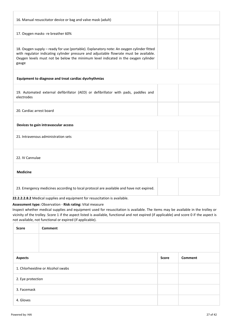| 16. Manual resuscitator device or bag and valve mask (adult)                                                                                                                                                                                                                       |  |
|------------------------------------------------------------------------------------------------------------------------------------------------------------------------------------------------------------------------------------------------------------------------------------|--|
| 17. Oxygen masks- re breather 60%                                                                                                                                                                                                                                                  |  |
| 18. Oxygen supply - ready for use (portable). Explanatory note: An oxygen cylinder fitted<br>with regulator indicating cylinder pressure and adjustable flowrate must be available.<br>Oxygen levels must not be below the minimum level indicated in the oxygen cylinder<br>gauge |  |
| Equipment to diagnose and treat cardiac dysrhythmias                                                                                                                                                                                                                               |  |
| 19. Automated external defibrillator (AED) or defibrillator with pads, paddles and<br>electrodes                                                                                                                                                                                   |  |
| 20. Cardiac arrest board                                                                                                                                                                                                                                                           |  |
| Devices to gain intravascular access                                                                                                                                                                                                                                               |  |
| 21. Intravenous administration sets                                                                                                                                                                                                                                                |  |
| 22. IV Cannulae                                                                                                                                                                                                                                                                    |  |
| <b>Medicine</b>                                                                                                                                                                                                                                                                    |  |
| 23. Emergency medicines according to local protocol are available and have not expired.                                                                                                                                                                                            |  |

**22.2.2.2.8.2** Medical supplies and equipment for resuscitation is available.

## **Assessment type:** Observation - **Risk rating:** Vital measure

Inspect whether medical supplies and equipment used for resuscitation is available. The items may be available in the trolley or vicinity of the trolley. Score 1 if the aspect listed is available, functional and not expired (if applicable) and score 0 if the aspect is not available, not functional or expired (if applicable).

| <b>Score</b>                      | <b>Comment</b> |              |         |
|-----------------------------------|----------------|--------------|---------|
|                                   |                |              |         |
|                                   |                |              |         |
| <b>Aspects</b>                    |                | <b>Score</b> | Comment |
| 1. Chlorhexidine or Alcohol swabs |                |              |         |
| 2. Eye protection                 |                |              |         |
| 3. Facemask                       |                |              |         |
| 4. Gloves                         |                |              |         |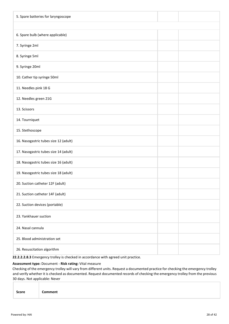| 5. Spare batteries for laryngoscope   |  |
|---------------------------------------|--|
|                                       |  |
| 6. Spare bulb (where applicable)      |  |
| 7. Syringe 2ml                        |  |
| 8. Syringe 5ml                        |  |
| 9. Syringe 20ml                       |  |
| 10. Cather tip syringe 50ml           |  |
| 11. Needles pink 18 G                 |  |
| 12. Needles green 21G                 |  |
| 13. Scissors                          |  |
| 14. Tourniquet                        |  |
| 15. Stethoscope                       |  |
| 16. Nasogastric tubes size 12 (adult) |  |
| 17. Nasogastric tubes size 14 (adult) |  |
| 18. Nasogastric tubes size 16 (adult) |  |
| 19. Nasogastric tubes size 18 (adult) |  |
| 20. Suction catheter 12F (adult)      |  |
| 21. Suction catheter 14F (adult)      |  |
| 22. Suction devices (portable)        |  |
| 23. Yankhauer suction                 |  |
| 24. Nasal cannula                     |  |
| 25. Blood administration set          |  |
| 26. Resuscitation algorithm           |  |

**22.2.2.2.8.3** Emergency trolley is checked in accordance with agreed unit practice.

## **Assessment type:** Document - **Risk rating:** Vital measure

Checking of the emergency trolley will vary from different units. Request a documented practice for checking the emergency trolley and verify whether it is checked as documented. Request documented records of checking the emergency trolley from the previous 30 days. Not applicable: Never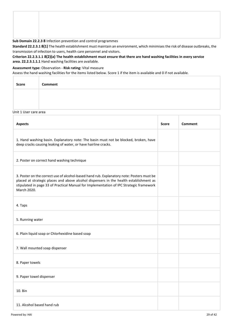**Sub Domain 22.2.3 8** Infection prevention and control programmes

**Standard 22.2.3.1 8(1)** The health establishment must maintain an environment, which minimises the risk of disease outbreaks, the transmission of infection to users, health care personnel and visitors.

**Criterion 22.2.3.1.1 8(2)(a) The health establishment must ensure that there are hand washing facilities in every service area. 22.2.3.1.1.1** Hand washing facilities are available.

#### **Assessment type:** Observation - **Risk rating:** Vital measure

Assess the hand washing facilities for the items listed below. Score 1 if the item is available and 0 if not available.

| <b>Score</b> | Comment |
|--------------|---------|
|              |         |
|              |         |

Unit 1 User care area

| <b>Aspects</b>                                                                                                                                                                                                                                                                                | <b>Score</b> | Comment |
|-----------------------------------------------------------------------------------------------------------------------------------------------------------------------------------------------------------------------------------------------------------------------------------------------|--------------|---------|
| 1. Hand washing basin. Explanatory note: The basin must not be blocked, broken, have<br>deep cracks causing leaking of water, or have hairline cracks.                                                                                                                                        |              |         |
| 2. Poster on correct hand washing technique                                                                                                                                                                                                                                                   |              |         |
| 3. Poster on the correct use of alcohol-based hand rub. Explanatory note: Posters must be<br>placed at strategic places and above alcohol dispensers in the health establishment as<br>stipulated in page 33 of Practical Manual for Implementation of IPC Strategic framework<br>March 2020. |              |         |
| 4. Taps                                                                                                                                                                                                                                                                                       |              |         |
| 5. Running water                                                                                                                                                                                                                                                                              |              |         |
| 6. Plain liquid soap or Chlorhexidine based soap                                                                                                                                                                                                                                              |              |         |
| 7. Wall mounted soap dispenser                                                                                                                                                                                                                                                                |              |         |
| 8. Paper towels                                                                                                                                                                                                                                                                               |              |         |
| 9. Paper towel dispenser                                                                                                                                                                                                                                                                      |              |         |
| 10. Bin                                                                                                                                                                                                                                                                                       |              |         |
| 11. Alcohol based hand rub                                                                                                                                                                                                                                                                    |              |         |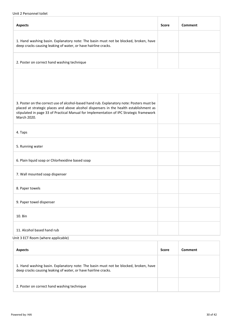## Unit 2 Personnel toilet

| <b>Aspects</b>                                                                                                                                                                                                                                                                                | <b>Score</b> | <b>Comment</b> |
|-----------------------------------------------------------------------------------------------------------------------------------------------------------------------------------------------------------------------------------------------------------------------------------------------|--------------|----------------|
| 1. Hand washing basin. Explanatory note: The basin must not be blocked, broken, have<br>deep cracks causing leaking of water, or have hairline cracks.                                                                                                                                        |              |                |
| 2. Poster on correct hand washing technique                                                                                                                                                                                                                                                   |              |                |
|                                                                                                                                                                                                                                                                                               |              |                |
|                                                                                                                                                                                                                                                                                               |              |                |
| 3. Poster on the correct use of alcohol-based hand rub. Explanatory note: Posters must be<br>placed at strategic places and above alcohol dispensers in the health establishment as<br>stipulated in page 33 of Practical Manual for Implementation of IPC Strategic framework<br>March 2020. |              |                |
| 4. Taps                                                                                                                                                                                                                                                                                       |              |                |
| 5. Running water                                                                                                                                                                                                                                                                              |              |                |
| 6. Plain liquid soap or Chlorhexidine based soap                                                                                                                                                                                                                                              |              |                |
| 7. Wall mounted soap dispenser                                                                                                                                                                                                                                                                |              |                |
| 8. Paper towels                                                                                                                                                                                                                                                                               |              |                |
| 9. Paper towel dispenser                                                                                                                                                                                                                                                                      |              |                |
| 10. Bin                                                                                                                                                                                                                                                                                       |              |                |
| 11. Alcohol based hand rub                                                                                                                                                                                                                                                                    |              |                |
| Unit 3 ECT Room (where applicable)                                                                                                                                                                                                                                                            |              |                |

| <b>Aspects</b>                                                                                                                                         | <b>Score</b> | Comment |
|--------------------------------------------------------------------------------------------------------------------------------------------------------|--------------|---------|
| 1. Hand washing basin. Explanatory note: The basin must not be blocked, broken, have<br>deep cracks causing leaking of water, or have hairline cracks. |              |         |
| 2. Poster on correct hand washing technique                                                                                                            |              |         |

ī.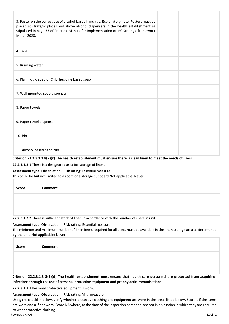| 3. Poster on the correct use of alcohol-based hand rub. Explanatory note: Posters must be<br>placed at strategic places and above alcohol dispensers in the health establishment as<br>stipulated in page 33 of Practical Manual for Implementation of IPC Strategic framework<br>March 2020. |  |
|-----------------------------------------------------------------------------------------------------------------------------------------------------------------------------------------------------------------------------------------------------------------------------------------------|--|
| 4. Taps                                                                                                                                                                                                                                                                                       |  |
| 5. Running water                                                                                                                                                                                                                                                                              |  |
| 6. Plain liquid soap or Chlorhexidine based soap                                                                                                                                                                                                                                              |  |
| 7. Wall mounted soap dispenser                                                                                                                                                                                                                                                                |  |
| 8. Paper towels                                                                                                                                                                                                                                                                               |  |
| 9. Paper towel dispenser                                                                                                                                                                                                                                                                      |  |
| 10. Bin                                                                                                                                                                                                                                                                                       |  |
| 11. Alcohol based hand rub                                                                                                                                                                                                                                                                    |  |

## **Criterion 22.2.3.1.2 8(2)(c) The health establishment must ensure there is clean linen to meet the needs of users.**

**22.2.3.1.2.1** There is a designated area for storage of linen.

#### **Assessment type:** Observation - **Risk rating:** Essential measure

This could be but not limited to a room or a storage cupboard Not applicable: Never

| Score | Comment |
|-------|---------|
|       |         |
|       |         |

**22.2.3.1.2.2** There is sufficient stock of linen in accordance with the number of users in unit.

#### **Assessment type:** Observation - **Risk rating:** Essential measure

The minimum and maximum number of linen items required for all users must be available in the linen storage area as determined by the unit. Not applicable: Never

| Score | Comment |
|-------|---------|
|       |         |
|       |         |

**Criterion 22.2.3.1.3 8(2)(d) The health establishment must ensure that health care personnel are protected from acquiring infections through the use of personal protective equipment and prophylactic immunisations.**

**22.2.3.1.3.1** Personal protective equipment is worn.

**Assessment type:** Observation - **Risk rating:** Vital measure

Using the checklist below, verify whether protective clothing and equipment are worn in the areas listed below. Score 1 if the items are worn and 0 if not worn. Score NA where, at the time of the inspection personnel are not in a situation in which they are required to wear protective clothing.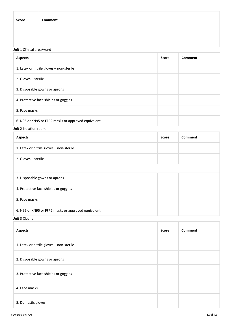| <b>Score</b>              | Comment |
|---------------------------|---------|
|                           |         |
| Unit 1 Clinical area/ward |         |

| <b>Aspects</b>                                       | <b>Score</b> | Comment |
|------------------------------------------------------|--------------|---------|
| 1. Latex or nitrile gloves - non-sterile             |              |         |
| 2. Gloves - sterile                                  |              |         |
| 3. Disposable gowns or aprons                        |              |         |
| 4. Protective face shields or goggles                |              |         |
| 5. Face masks                                        |              |         |
| 6. N95 or KN95 or FFP2 masks or approved equivalent. |              |         |

Unit 2 Isolation room

| <b>Aspects</b>                                       | <b>Score</b> | Comment |
|------------------------------------------------------|--------------|---------|
| 1. Latex or nitrile gloves - non-sterile             |              |         |
| 2. Gloves - sterile                                  |              |         |
|                                                      |              |         |
| 3. Disposable gowns or aprons                        |              |         |
| 4. Protective face shields or goggles                |              |         |
| 5. Face masks                                        |              |         |
| 6. N95 or KN95 or FFP2 masks or approved equivalent. |              |         |

Unit 3 Cleaner

| <b>Aspects</b>                           | <b>Score</b> | <b>Comment</b> |
|------------------------------------------|--------------|----------------|
| 1. Latex or nitrile gloves - non-sterile |              |                |
| 2. Disposable gowns or aprons            |              |                |
| 3. Protective face shields or goggles    |              |                |
| 4. Face masks                            |              |                |
| 5. Domestic gloves                       |              |                |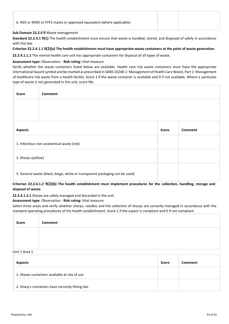## **Sub Domain 22.2.4 9** Waste management

**Standard 22.2.4.1 9(1)** The health establishment must ensure that waste is handled, stored, and disposed of safely in accordance with the law.

#### **Criterion 22.2.4.1.1 9(2)(a) The health establishment must have appropriate waste containers at the point of waste generation.**

**22.2.4.1.1.1** The mental health care unit has appropriate containers for disposal of all types of waste.

## **Assessment type:** Observation - **Risk rating:** Vital measure

Verify whether the waste containers listed below are available. Health care risk waste containers must have the appropriate international hazard symbol and be marked as prescribed in SANS 10248-1: Management of Health Care Waste, Part 1: Management of healthcare risk waste from a health facility. Score 1 if the waste container is available and 0 if not available. Where a particular type of waste is not generated in the unit, score NA.

| <b>Score</b>       | <b>Comment</b>                                                              |              |                |
|--------------------|-----------------------------------------------------------------------------|--------------|----------------|
|                    |                                                                             |              |                |
|                    |                                                                             |              |                |
| <b>Aspects</b>     |                                                                             | <b>Score</b> | <b>Comment</b> |
|                    | 1. Infectious non-anatomical waste (red)                                    |              |                |
| 2. Sharps (yellow) |                                                                             |              |                |
|                    | 3. General waste (black, beige, white or transparent packaging can be used) |              |                |

## **Criterion 22.2.4.1.2 9(2)(b) The health establishment must implement procedures for the collection, handling, storage and disposal of waste.**

**22.2.4.1.2.1** Sharps are safely managed and discarded in the unit.

## **Assessment type:** Observation - **Risk rating:** Vital measure

Select three areas and verify whether sharps, needles and the collection of sharps are correctly managed in accordance with the standard operating procedures of the health establishment. Score 1 if the aspect is compliant and 0 if not compliant.

| <b>Score</b>    | Comment |
|-----------------|---------|
|                 |         |
| $H = 1$ $A = 4$ |         |

#### Unit 1 Area 1

| <b>Aspects</b>                                     | <b>Score</b> | Comment |
|----------------------------------------------------|--------------|---------|
| 1. Sharps containers available at site of use      |              |         |
| 2. Sharp's containers have correctly fitting lids. |              |         |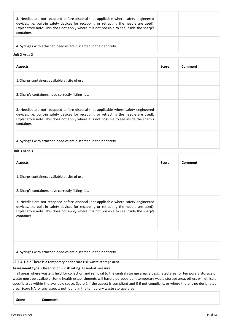| 3. Needles are not recapped before disposal (not applicable where safety engineered<br>devices, i.e. built-in safety devices for recapping or retracting the needle are used).<br>Explanatory note: This does not apply where it is not possible to see inside the sharp's<br>container. |  |
|------------------------------------------------------------------------------------------------------------------------------------------------------------------------------------------------------------------------------------------------------------------------------------------|--|
| 4. Syringes with attached needles are discarded in their entirety                                                                                                                                                                                                                        |  |

## Unit 2 Area 2

| <b>Aspects</b>                                                                                                                                                                                                                                                                           | <b>Score</b> | Comment |
|------------------------------------------------------------------------------------------------------------------------------------------------------------------------------------------------------------------------------------------------------------------------------------------|--------------|---------|
| 1. Sharps containers available at site of use                                                                                                                                                                                                                                            |              |         |
| 2. Sharp's containers have correctly fitting lids.                                                                                                                                                                                                                                       |              |         |
| 3. Needles are not recapped before disposal (not applicable where safety engineered<br>devices, i.e. built-in safety devices for recapping or retracting the needle are used).<br>Explanatory note: This does not apply where it is not possible to see inside the sharp's<br>container. |              |         |
| 4. Syringes with attached needles are discarded in their entirety                                                                                                                                                                                                                        |              |         |

Unit 3 Area 3

| <b>Aspects</b>                                                                                                                                                                                                                                                                           | <b>Score</b> | Comment |
|------------------------------------------------------------------------------------------------------------------------------------------------------------------------------------------------------------------------------------------------------------------------------------------|--------------|---------|
| 1. Sharps containers available at site of use                                                                                                                                                                                                                                            |              |         |
| 2. Sharp's containers have correctly fitting lids.                                                                                                                                                                                                                                       |              |         |
| 3. Needles are not recapped before disposal (not applicable where safety engineered<br>devices, i.e. built-in safety devices for recapping or retracting the needle are used).<br>Explanatory note: This does not apply where it is not possible to see inside the sharp's<br>container. |              |         |
|                                                                                                                                                                                                                                                                                          |              |         |
| 4. Syringes with attached needles are discarded in their entirety                                                                                                                                                                                                                        |              |         |
| 22.2.4.1.2.2 There is a temporary healthcare risk waste storage area.                                                                                                                                                                                                                    |              |         |

#### **Assessment type:** Observation - **Risk rating:** Essential measure

In all areas where waste is held for collection and removal to the central storage area, a designated area for temporary storage of waste must be available. Some health establishments will have a purpose-built temporary waste storage area, others will utilise a specific area within the available space. Score 1 if the aspect is compliant and 0 if not compliant, or where there is no designated area. Score NA for any aspects not found in the temporary waste storage area.

|--|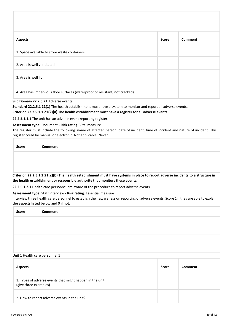| <b>Aspects</b>                                                               | <b>Score</b> | <b>Comment</b> |
|------------------------------------------------------------------------------|--------------|----------------|
| 1. Space available to store waste containers                                 |              |                |
| 2. Area is well ventilated                                                   |              |                |
| 3. Area is well lit                                                          |              |                |
| 4. Area has impervious floor surfaces (waterproof or resistant, not cracked) |              |                |

## **Sub Domain 22.2.5 21** Adverse events

**Standard 22.2.5.1 21(1)** The health establishment must have a system to monitor and report all adverse events.

## **Criterion 22.2.5.1.1 21(2)(a) The health establishment must have a register for all adverse events.**

**22.2.5.1.1.1** The unit has an adverse event reporting register.

#### **Assessment type:** Document - **Risk rating:** Vital measure

The register must include the following: name of affected person, date of incident, time of incident and nature of incident. This register could be manual or electronic. Not applicable: Never

| Score | Comment |
|-------|---------|
|       |         |
|       |         |

**Criterion 22.2.5.1.2 21(2)(b) The health establishment must have systems in place to report adverse incidents to a structure in the health establishment or responsible authority that monitors these events.**

**22.2.5.1.2.1** Health care personnel are aware of the procedure to report adverse events.

#### **Assessment type:** Staff interview - **Risk rating:** Essential measure

Interview three health care personnel to establish their awareness on reporting of adverse events. Score 1 if they are able to explain the aspects listed below and 0 if not.

| Score | Comment |
|-------|---------|
|       |         |
|       |         |
|       |         |
|       |         |

#### Unit 1 Health care personnel 1

| <b>Aspects</b>                                                                    | <b>Score</b> | Comment |
|-----------------------------------------------------------------------------------|--------------|---------|
| 1. Types of adverse events that might happen in the unit<br>(give three examples) |              |         |
| 2. How to report adverse events in the unit?                                      |              |         |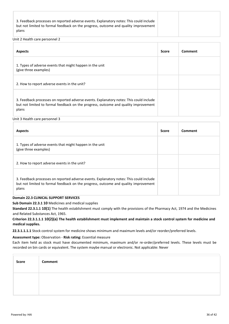|--|

#### Unit 2 Health care personnel 2

| <b>Aspects</b>                                                                                                                                                                          | Score | Comment |
|-----------------------------------------------------------------------------------------------------------------------------------------------------------------------------------------|-------|---------|
| 1. Types of adverse events that might happen in the unit<br>(give three examples)                                                                                                       |       |         |
| 2. How to report adverse events in the unit?                                                                                                                                            |       |         |
| 3. Feedback processes on reported adverse events. Explanatory notes: This could include<br>but not limited to formal feedback on the progress, outcome and quality improvement<br>plans |       |         |

Unit 3 Health care personnel 3

| <b>Aspects</b>                                                                                                                                                                          | <b>Score</b> | Comment |
|-----------------------------------------------------------------------------------------------------------------------------------------------------------------------------------------|--------------|---------|
| 1. Types of adverse events that might happen in the unit<br>(give three examples)                                                                                                       |              |         |
| 2. How to report adverse events in the unit?                                                                                                                                            |              |         |
| 3. Feedback processes on reported adverse events. Explanatory notes: This could include<br>but not limited to formal feedback on the progress, outcome and quality improvement<br>plans |              |         |

## **Domain 22.3 CLINICAL SUPPORT SERVICES**

**Sub Domain 22.3.1 10** Medicines and medical supplies

**Standard 22.3.1.1 10(1)** The health establishment must comply with the provisions of the Pharmacy Act, 1974 and the Medicines and Related Substances Act, 1965.

## **Criterion 22.3.1.1.1 10(2)(a) The health establishment must implement and maintain a stock control system for medicine and medical supplies.**

**22.3.1.1.1.1** Stock control system for medicine shows minimum and maximum levels and/or reorder/preferred levels.

#### **Assessment type:** Observation - **Risk rating:** Essential measure

Each item held as stock must have documented minimum, maximum and/or re-order/preferred levels. These levels must be recorded on bin cards or equivalent. The system maybe manual or electronic. Not applicable: Never

| Score | Comment |
|-------|---------|
|       |         |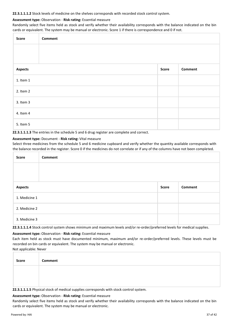#### **22.3.1.1.1.2** Stock levels of medicine on the shelves corresponds with recorded stock control system.

## **Assessment type:** Observation - **Risk rating:** Essential measure

Randomly select five items held as stock and verify whether their availability corresponds with the balance indicated on the bin cards or equivalent. The system may be manual or electronic. Score 1 if there is correspondence and 0 if not.

| Score          | <b>Comment</b> |       |         |
|----------------|----------------|-------|---------|
|                |                |       |         |
|                |                |       |         |
| <b>Aspects</b> |                | Score | Comment |
| 1. Item 1      |                |       |         |
| 2. Item 2      |                |       |         |
| 3. Item 3      |                |       |         |
| 4. Item 4      |                |       |         |
| 5. Item 5      |                |       |         |

**22.3.1.1.1.3** The entries in the schedule 5 and 6 drug register are complete and correct.

## **Assessment type:** Document - **Risk rating:** Vital measure

Select three medicines from the schedule 5 and 6 medicine cupboard and verify whether the quantity available corresponds with the balance recorded in the register. Score 0 if the medicines do not correlate or if any of the columns have not been completed.

| <b>Score</b>   | Comment |       |         |
|----------------|---------|-------|---------|
|                |         |       |         |
|                |         |       |         |
| <b>Aspects</b> |         | Score | Comment |
| 1. Medicine 1  |         |       |         |
| 2. Medicine 2  |         |       |         |
| 3. Medicine 3  |         |       |         |

**22.3.1.1.1.4** Stock control system shows minimum and maximum levels and/or re-order/preferred levels for medical supplies.

#### **Assessment type:** Observation - **Risk rating:** Essential measure

Each item held as stock must have documented minimum, maximum and/or re-order/preferred levels. These levels must be recorded on bin cards or equivalent. The system may be manual or electronic. Not applicable: Never

| Score | Comment |
|-------|---------|
|       |         |
|       |         |

**22.3.1.1.1.5** Physical stock of medical supplies corresponds with stock control system.

#### **Assessment type:** Observation - **Risk rating:** Essential measure

Randomly select five items held as stock and verify whether their availability corresponds with the balance indicated on the bin cards or equivalent. The system may be manual or electronic.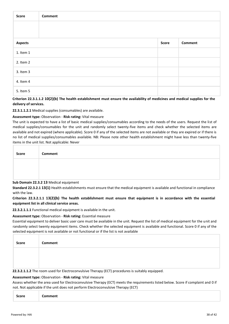| <b>Score</b>   | <b>Comment</b>                                                                              |       |                |
|----------------|---------------------------------------------------------------------------------------------|-------|----------------|
|                |                                                                                             |       |                |
|                |                                                                                             |       |                |
| <b>Aspects</b> |                                                                                             | Score | <b>Comment</b> |
| 1. Item 1      |                                                                                             |       |                |
| 2. Item 2      |                                                                                             |       |                |
| 3. Item 3      |                                                                                             |       |                |
| 4. Item 4      |                                                                                             |       |                |
| 5. Item 5      | $\mathbf{A}$ and $\mathbf{A}$ are a separate that is a set of $\mathbf{A}$ and $\mathbf{A}$ |       |                |

**Criterion 22.3.1.1.2 10(2)(b) The health establishment must ensure the availability of medicines and medical supplies for the delivery of services.**

**22.3.1.1.2.1** Medical supplies (consumables) are available.

## **Assessment type:** Observation - **Risk rating:** Vital measure

The unit is expected to have a list of basic medical supplies/consumables according to the needs of the users. Request the list of medical supplies/consumables for the unit and randomly select twenty-five items and check whether the selected items are available and not expired (where applicable). Score 0 if any of the selected items are not available or they are expired or if there is no list of medical supplies/consumables available. NB: Please note other health establishment might have less than twenty-five items in the unit list. Not applicable: Never

| Score | Comment |
|-------|---------|
|       |         |
|       |         |

#### **Sub Domain 22.3.2 13** Medical equipment

**Standard 22.3.2.1 13(1)** Health establishments must ensure that the medical equipment is available and functional in compliance with the law.

**Criterion 22.3.2.1.1 13(2)(b) The health establishment must ensure that equipment is in accordance with the essential equipment list in all clinical service areas.**

**22.3.2.1.1.1** Functional medical equipment is available in the unit.

#### **Assessment type:** Observation - **Risk rating:** Essential measure

Essential equipment to deliver basic user care must be available in the unit. Request the list of medical equipment for the unit and randomly select twenty equipment items. Check whether the selected equipment is available and functional. Score 0 if any of the selected equipment is not available or not functional or if the list is not available

| Score | Comment |
|-------|---------|
|       |         |
|       |         |

**22.3.2.1.1.2** The room used for Electroconvulsive Therapy (ECT) procedures is suitably equipped.

#### **Assessment type:** Observation - **Risk rating:** Vital measure

Assess whether the area used for Electroconvulsive Therapy (ECT) meets the requirements listed below. Score if complaint and 0 if not. Not applicable if the unit does not perform Electroconvulsive Therapy (ECT)

|--|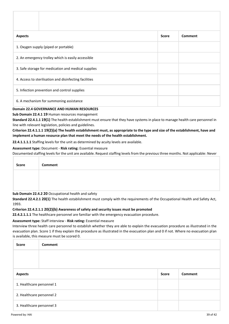| <b>Aspects</b>                                         |                                                     | <b>Score</b> | Comment |
|--------------------------------------------------------|-----------------------------------------------------|--------------|---------|
|                                                        | 1. Oxygen supply (piped or portable)                |              |         |
| 2. An emergency trolley which is easily accessible     |                                                     |              |         |
|                                                        | 3. Safe storage for medication and medical supplies |              |         |
| 4. Access to sterilisation and disinfecting facilities |                                                     |              |         |
|                                                        | 5. Infection prevention and control supplies        |              |         |
|                                                        | 6. A mechanism for summoning assistance             |              |         |

## **Domain 22.4 GOVERNANCE AND HUMAN RESOURCES**

## **Sub Domain 22.4.1 19** Human resources management

**Standard 22.4.1.1 19(1)** The health establishment must ensure that they have systems in place to manage health care personnel in line with relevant legislation, policies and guidelines.

## **Criterion 22.4.1.1.1 19(2)(a) The health establishment must, as appropriate to the type and size of the establishment, have and implement a human resource plan that meet the needs of the health establishment.**

**22.4.1.1.1.1** Staffing levels for the unit as determined by acuity levels are available.

#### **Assessment type:** Document - **Risk rating:** Essential measure

Documented staffing levels for the unit are available. Request staffing levels from the previous three months. Not applicable: Never

| <b>Score</b> | Comment                                             |
|--------------|-----------------------------------------------------|
|              |                                                     |
|              |                                                     |
|              | Sub Domain 22 4.2.20 Occupational health and safety |

## **Sub Domain 22.4.2 20** Occupational health and safety

**Standard 22.4.2.1 20(1)** The health establishment must comply with the requirements of the Occupational Health and Safety Act, 1993.

#### **Criterion 22.4.2.1.1 20(2)(b) Awareness of safety and security issues must be promoted**

**22.4.2.1.1.1** The healthcare personnel are familiar with the emergency evacuation procedure.

## **Assessment type:** Staff interview - **Risk rating:** Essential measure

Interview three health care personnel to establish whether they are able to explain the evacuation procedure as illustrated in the evacuation plan. Score 1 if they explain the procedure as illustrated in the evacuation plan and 0 if not. Where no evacuation plan is available, this measure must be scored 0.

| <b>Score</b>              | Comment                   |              |         |
|---------------------------|---------------------------|--------------|---------|
|                           |                           |              |         |
|                           |                           |              |         |
| <b>Aspects</b>            |                           | <b>Score</b> | Comment |
| 1. Healthcare personnel 1 |                           |              |         |
|                           | 2. Healthcare personnel 2 |              |         |
|                           | 3. Healthcare personnel 3 |              |         |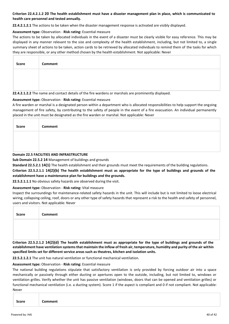## **Criterion 22.4.2.1.2 20 The health establishment must have a disaster management plan in place, which is communicated to health care personnel and tested annually.**

**22.4.2.1.2.1** The actions to be taken when the disaster management response is activated are visibly displayed.

## **Assessment type:** Observation - **Risk rating:** Essential measure

The actions to be taken by allocated individuals in the event of a disaster must be clearly visible for easy reference. This may be displayed in any manner relevant to the size and complexity of the health establishment, including, but not limited to, a single summary sheet of actions to be taken, action cards to be retrieved by allocated individuals to remind them of the tasks for which they are responsible, or any other method chosen by the health establishment. Not applicable: Never

| Score | Comment |
|-------|---------|
|       |         |
|       |         |

## **22.4.2.1.2.2** The name and contact details of the fire wardens or marshals are prominently displayed.

## **Assessment type:** Observation - **Risk rating:** Essential measure

A fire warden or marshal is a designated person within a department who is allocated responsibilities to help support the ongoing management of fire safety, by contributing to the safety of people in the event of a fire evacuation. An individual permanently placed in the unit must be designated as the fire warden or marshal. Not applicable: Never

| <b>Score</b> | Comment                                   |
|--------------|-------------------------------------------|
|              |                                           |
|              |                                           |
|              | Domain 22 E EACH ITIES AND INFOASTBUCTURE |

## **Domain 22.5 FACILITIES AND INFRASTRUCTURE**

**Sub Domain 22.5.2 14** Management of buildings and grounds

**Standard 22.5.2.1 14(1)** The health establishment and their grounds must meet the requirements of the building regulations.

**Criterion 22.5.2.1.1 14(2)(b) The health establishment must as appropriate for the type of buildings and grounds of the establishment have a maintenance plan for buildings and the grounds.**

**22.5.2.1.1.1** No obvious safety hazards are observed during the visit.

## **Assessment type:** Observation - **Risk rating:** Vital measure

Inspect the surroundings for maintenance-related safety hazards in the unit. This will include but is not limited to loose electrical wiring, collapsing ceiling, roof, doors or any other type of safety hazards that represent a risk to the health and safety of personnel, users and visitors. Not applicable: Never

| Score | <b>Comment</b> |
|-------|----------------|
|       |                |
|       |                |

**Criterion 22.5.2.1.2 14(2)(d) The health establishment must as appropriate for the type of buildings and grounds of the establishment have ventilation systems that maintain the inflow of fresh air, temperature, humidity and purity of the air within specified limits set for different service areas such as theatres, kitchen and isolation units.** 

**22.5.2.1.2.1** The unit has natural ventilation or functional mechanical ventilation.

## **Assessment type:** Observation - **Risk rating:** Essential measure

The national building regulations stipulate that satisfactory ventilation is only provided by forcing outdoor air into a space mechanically or passively through either ducting or apertures open to the outside, including, but not limited to, windows or ventilation grilles. Verify whether the unit has passive ventilation (windows, doors that can be opened and ventilation grilles) or functional mechanical ventilation (i.e. a ducting system). Score 1 if the aspect is compliant and 0 if not compliant. Not applicable: Never

|  | Comment |
|--|---------|
|--|---------|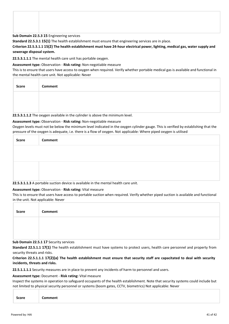**Sub Domain 22.5.3 15** Engineering services

**Standard 22.5.3.1 15(1)** The health establishment must ensure that engineering services are in place.

**Criterion 22.5.3.1.1 15(2) The health establishment must have 24-hour electrical power, lighting, medical gas, water supply and sewerage disposal system.**

**22.5.3.1.1.1** The mental health care unit has portable oxygen.

**Assessment type:** Observation - **Risk rating:** Non-negotiable measure

This is to ensure that users have access to oxygen when required. Verify whether portable medical gas is available and functional in the mental health care unit. Not applicable: Never

| <b>Score</b> | Comment |
|--------------|---------|
|              |         |
|              |         |

**22.5.3.1.1.2** The oxygen available in the cylinder is above the minimum level.

#### **Assessment type:** Observation - **Risk rating:** Non-negotiable measure

Oxygen levels must not be below the minimum level indicated in the oxygen cylinder gauge. This is verified by establishing that the pressure of the oxygen is adequate, i.e. there is a flow of oxygen. Not applicable: Where piped oxygen is utilised

| Score | Comment |
|-------|---------|
|       |         |
|       |         |
|       |         |
|       |         |

**22.5.3.1.1.3** A portable suction device is available in the mental health care unit.

## **Assessment type:** Observation - **Risk rating:** Vital measure

This is to ensure that users have access to portable suction when required. Verify whether piped suction is available and functional in the unit. Not applicable: Never

| Score | Comment |
|-------|---------|
|       |         |
|       |         |

## **Sub Domain 22.5.1 17** Security services

**Standard 22.5.1.1 17(1)** The health establishment must have systems to protect users, health care personnel and property from security threats and risks.

## **Criterion 22.5.1.1.1 17(2)(a) The health establishment must ensure that security staff are capacitated to deal with security incidents, threats and risks.**

**22.5.1.1.1.1** Security measures are in place to prevent any incidents of harm to personnel and users.

#### **Assessment type:** Document - **Risk rating:** Vital measure

Inspect the systems in operation to safeguard occupants of the health establishment. Note that security systems could include but not limited to physical security personnel or systems (boom gates, CCTV, biometrics) Not applicable: Never

| Comment |
|---------|
|---------|